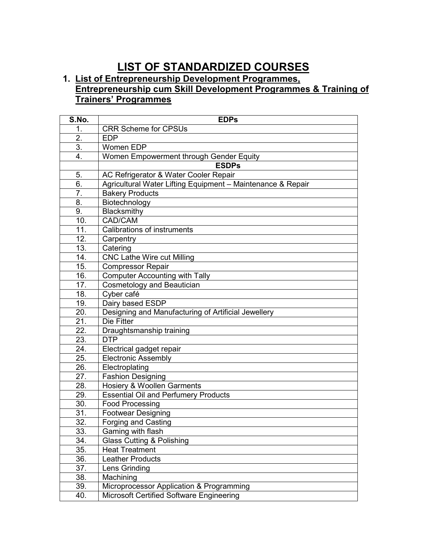## **LIST OF STANDARDIZED COURSES**

## **1. List of Entrepreneurship Development Programmes, Entrepreneurship cum Skill Development Programmes & Training of Trainers' Programmes**

| S.No.             | <b>EDPs</b>                                                 |
|-------------------|-------------------------------------------------------------|
| 1.                | <b>CRR Scheme for CPSUs</b>                                 |
| 2.                | <b>EDP</b>                                                  |
| 3.                | Women EDP                                                   |
| 4.                | Women Empowerment through Gender Equity                     |
|                   | <b>ESDPs</b>                                                |
| 5.                | AC Refrigerator & Water Cooler Repair                       |
| 6.                | Agricultural Water Lifting Equipment - Maintenance & Repair |
| $\overline{7}$ .  | <b>Bakery Products</b>                                      |
| 8.                | Biotechnology                                               |
| 9.                | Blacksmithy                                                 |
| 10.               | CAD/CAM                                                     |
| 11.               | <b>Calibrations of instruments</b>                          |
| 12.               | Carpentry                                                   |
| 13.               | Catering                                                    |
| 14.               | <b>CNC Lathe Wire cut Milling</b>                           |
| 15.               | <b>Compressor Repair</b>                                    |
| 16.               | <b>Computer Accounting with Tally</b>                       |
| 17.               | <b>Cosmetology and Beautician</b>                           |
| 18.               | Cyber café                                                  |
| 19.               | Dairy based ESDP                                            |
| 20.               | Designing and Manufacturing of Artificial Jewellery         |
| 21.               | Die Fitter                                                  |
| 22.               | Draughtsmanship training                                    |
| 23.               | <b>DTP</b>                                                  |
| 24.               | Electrical gadget repair                                    |
| 25.               | <b>Electronic Assembly</b>                                  |
| 26.               | Electroplating                                              |
| 27.               | <b>Fashion Designing</b>                                    |
| 28.               | <b>Hosiery &amp; Woollen Garments</b>                       |
| 29.               | <b>Essential Oil and Perfumery Products</b>                 |
| 30.               | <b>Food Processing</b>                                      |
| 31.               | <b>Footwear Designing</b>                                   |
| $\overline{32}$ . | <b>Forging and Casting</b>                                  |
| 33.               | Gaming with flash                                           |
| 34.               | <b>Glass Cutting &amp; Polishing</b>                        |
| 35.               | <b>Heat Treatment</b>                                       |
| 36.               | <b>Leather Products</b>                                     |
| 37.               | Lens Grinding                                               |
| 38.               | Machining                                                   |
| 39.               | Microprocessor Application & Programming                    |
| 40.               | Microsoft Certified Software Engineering                    |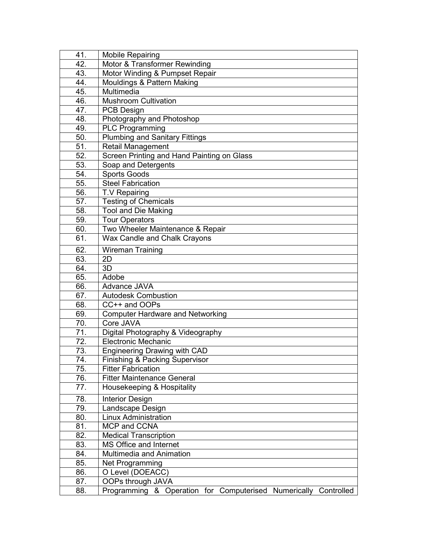| 41. | <b>Mobile Repairing</b>                                         |
|-----|-----------------------------------------------------------------|
| 42. | Motor & Transformer Rewinding                                   |
| 43. | Motor Winding & Pumpset Repair                                  |
| 44. | Mouldings & Pattern Making                                      |
| 45. | Multimedia                                                      |
| 46. | <b>Mushroom Cultivation</b>                                     |
| 47. | PCB Design                                                      |
| 48. | Photography and Photoshop                                       |
| 49. | <b>PLC Programming</b>                                          |
| 50. | <b>Plumbing and Sanitary Fittings</b>                           |
| 51. | <b>Retail Management</b>                                        |
| 52. | Screen Printing and Hand Painting on Glass                      |
| 53. | Soap and Detergents                                             |
| 54. | Sports Goods                                                    |
| 55. | <b>Steel Fabrication</b>                                        |
| 56. | T.V Repairing                                                   |
| 57. | <b>Testing of Chemicals</b>                                     |
| 58. | <b>Tool and Die Making</b>                                      |
| 59. | <b>Tour Operators</b>                                           |
| 60. | Two Wheeler Maintenance & Repair                                |
| 61. | Wax Candle and Chalk Crayons                                    |
| 62. | <b>Wireman Training</b>                                         |
| 63. | 2D                                                              |
| 64. | 3D                                                              |
| 65. | Adobe                                                           |
| 66. | Advance JAVA                                                    |
| 67. | <b>Autodesk Combustion</b>                                      |
| 68. | CC++ and OOPs                                                   |
| 69. | <b>Computer Hardware and Networking</b>                         |
| 70. | Core JAVA                                                       |
| 71. | Digital Photography & Videography                               |
| 72. | <b>Electronic Mechanic</b>                                      |
| 73. | <b>Engineering Drawing with CAD</b>                             |
| 74. | Finishing & Packing Supervisor                                  |
| 75. | <b>Fitter Fabrication</b>                                       |
| 76. | <b>Fitter Maintenance General</b>                               |
| 77. | Housekeeping & Hospitality                                      |
| 78. |                                                                 |
| 79. | <b>Interior Design</b><br>Landscape Design                      |
| 80. | <b>Linux Administration</b>                                     |
| 81. | MCP and CCNA                                                    |
| 82. | <b>Medical Transcription</b>                                    |
| 83. | MS Office and Internet                                          |
| 84. | <b>Multimedia and Animation</b>                                 |
| 85. | Net Programming                                                 |
| 86. | O Level (DOEACC)                                                |
| 87. | OOPs through JAVA                                               |
| 88. | Programming & Operation for Computerised Numerically Controlled |
|     |                                                                 |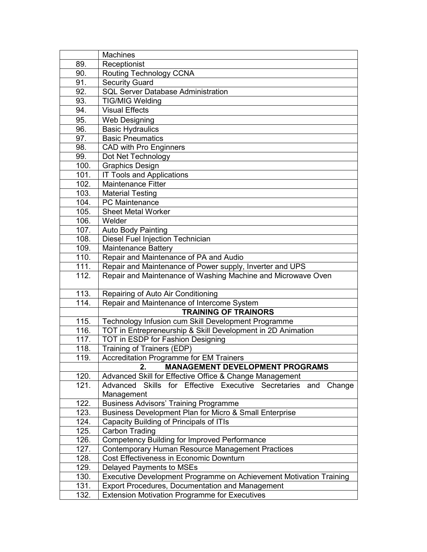|              | <b>Machines</b>                                                                                   |
|--------------|---------------------------------------------------------------------------------------------------|
| 89.          | Receptionist                                                                                      |
| 90.          | Routing Technology CCNA                                                                           |
| 91.          | <b>Security Guard</b>                                                                             |
| 92.          | <b>SQL Server Database Administration</b>                                                         |
| 93.          | <b>TIG/MIG Welding</b>                                                                            |
| 94.          | <b>Visual Effects</b>                                                                             |
| 95.          | <b>Web Designing</b>                                                                              |
| 96.          | <b>Basic Hydraulics</b>                                                                           |
| 97.          | <b>Basic Pneumatics</b>                                                                           |
| 98.          | <b>CAD with Pro Enginners</b>                                                                     |
| 99.          | Dot Net Technology                                                                                |
| 100.         | <b>Graphics Design</b>                                                                            |
| 101.         | <b>IT Tools and Applications</b>                                                                  |
| 102.         | <b>Maintenance Fitter</b>                                                                         |
| 103.         | <b>Material Testing</b>                                                                           |
| 104.         | <b>PC</b> Maintenance                                                                             |
| 105.         | Sheet Metal Worker                                                                                |
| 106.         | Welder                                                                                            |
| 107.         | <b>Auto Body Painting</b>                                                                         |
| 108.         | <b>Diesel Fuel Injection Technician</b>                                                           |
| 109.         | <b>Maintenance Battery</b>                                                                        |
| 110.         | Repair and Maintenance of PA and Audio                                                            |
| 111.         | Repair and Maintenance of Power supply, Inverter and UPS                                          |
| 112.         | Repair and Maintenance of Washing Machine and Microwave Oven                                      |
| 113.         | Repairing of Auto Air Conditioning                                                                |
| 114.         | Repair and Maintenance of Intercome System                                                        |
|              | <b>TRAINING OF TRAINORS</b>                                                                       |
| 115.         | Technology Infusion cum Skill Development Programme                                               |
| 116.         | TOT in Entrepreneurship & Skill Development in 2D Animation                                       |
| 117.         | <b>TOT in ESDP for Fashion Designing</b>                                                          |
| 118.         | Training of Trainers (EDP)                                                                        |
| 119.         | <b>Accreditation Programme for EM Trainers</b>                                                    |
|              | <b>MANAGEMENT DEVELOPMENT PROGRAMS</b><br>2.                                                      |
| 120.         | Advanced Skill for Effective Office & Change Management                                           |
| 121.         | Advanced Skills for Effective Executive Secretaries<br>and<br>Change                              |
| 122.         | Management                                                                                        |
|              | <b>Business Advisors' Training Programme</b>                                                      |
| 123.<br>124. | Business Development Plan for Micro & Small Enterprise<br>Capacity Building of Principals of ITIs |
| 125.         | Carbon Trading                                                                                    |
| 126.         | <b>Competency Building for Improved Performance</b>                                               |
| 127.         | Contemporary Human Resource Management Practices                                                  |
| 128.         | Cost Effectiveness in Economic Downturn                                                           |
| 129.         | <b>Delayed Payments to MSEs</b>                                                                   |
| 130.         | Executive Development Programme on Achievement Motivation Training                                |
| 131.         | Export Procedures, Documentation and Management                                                   |
| 132.         | <b>Extension Motivation Programme for Executives</b>                                              |
|              |                                                                                                   |